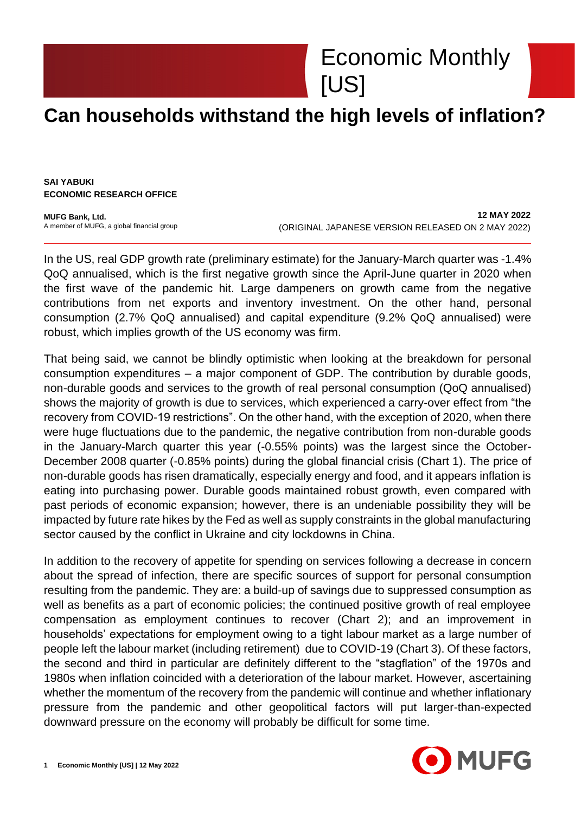Economic Monthly [US]

## **Can households withstand the high levels of inflation?**

**SAI YABUKI ECONOMIC RESEARCH OFFICE**

**MUFG Bank, Ltd.** A member of MUFG, a global financial group

**12 MAY 2022** (ORIGINAL JAPANESE VERSION RELEASED ON 2 MAY 2022)

In the US, real GDP growth rate (preliminary estimate) for the January-March quarter was -1.4% QoQ annualised, which is the first negative growth since the April-June quarter in 2020 when the first wave of the pandemic hit. Large dampeners on growth came from the negative contributions from net exports and inventory investment. On the other hand, personal consumption (2.7% QoQ annualised) and capital expenditure (9.2% QoQ annualised) were robust, which implies growth of the US economy was firm.

That being said, we cannot be blindly optimistic when looking at the breakdown for personal consumption expenditures – a major component of GDP. The contribution by durable goods, non-durable goods and services to the growth of real personal consumption (QoQ annualised) shows the majority of growth is due to services, which experienced a carry-over effect from "the recovery from COVID-19 restrictions". On the other hand, with the exception of 2020, when there were huge fluctuations due to the pandemic, the negative contribution from non-durable goods in the January-March quarter this year (-0.55% points) was the largest since the October-December 2008 quarter (-0.85% points) during the global financial crisis (Chart 1). The price of non-durable goods has risen dramatically, especially energy and food, and it appears inflation is eating into purchasing power. Durable goods maintained robust growth, even compared with past periods of economic expansion; however, there is an undeniable possibility they will be impacted by future rate hikes by the Fed as well as supply constraints in the global manufacturing sector caused by the conflict in Ukraine and city lockdowns in China.

In addition to the recovery of appetite for spending on services following a decrease in concern about the spread of infection, there are specific sources of support for personal consumption resulting from the pandemic. They are: a build-up of savings due to suppressed consumption as well as benefits as a part of economic policies; the continued positive growth of real employee compensation as employment continues to recover (Chart 2); and an improvement in households' expectations for employment owing to a tight labour market as a large number of people left the labour market (including retirement) due to COVID-19 (Chart 3). Of these factors, the second and third in particular are definitely different to the "stagflation" of the 1970s and 1980s when inflation coincided with a deterioration of the labour market. However, ascertaining whether the momentum of the recovery from the pandemic will continue and whether inflationary pressure from the pandemic and other geopolitical factors will put larger-than-expected downward pressure on the economy will probably be difficult for some time.